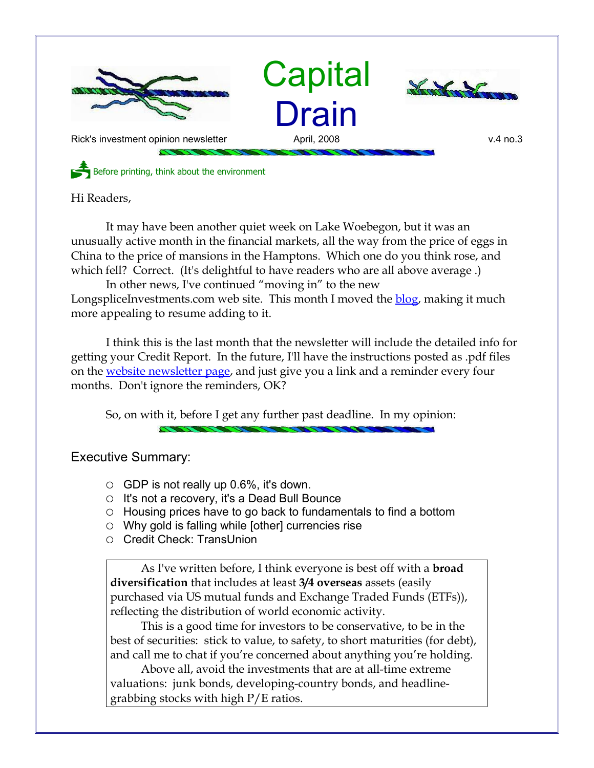

Hi Readers,

It may have been another quiet week on Lake Woebegon, but it was an unusually active month in the financial markets, all the way from the price of eggs in China to the price of mansions in the Hamptons. Which one do you think rose, and which fell? Correct. (It's delightful to have readers who are all above average.)

In other news, I've continued "moving in" to the new LongspliceInvestments.com web site. This month I moved the **blog**, making it much more appealing to resume adding to it.

I think this is the last month that the newsletter will include the detailed info for getting your Credit Report. In the future, I'll have the instructions posted as .pdf files on the [website newsletter page,](http://www.LongspliceInvestments.com/newsletter.shtml) and just give you a link and a reminder every four months. Don't ignore the reminders, OK?

So, on with it, before I get any further past deadline. In my opinion:

Executive Summary:

- $\circ$  GDP is not really up 0.6%, it's down.
- It's not a recovery, it's a Dead Bull Bounce
- Housing prices have to go back to fundamentals to find a bottom
- $\circ$  Why gold is falling while [other] currencies rise
- Credit Check: TransUnion

As I've written before, I think everyone is best off with a **broad diversification** that includes at least **3/4 overseas** assets (easily purchased via US mutual funds and Exchange Traded Funds (ETFs)), reflecting the distribution of world economic activity.

This is a good time for investors to be conservative, to be in the best of securities: stick to value, to safety, to short maturities (for debt), and call me to chat if you're concerned about anything you're holding.

Above all, avoid the investments that are at all-time extreme valuations: junk bonds, developing-country bonds, and headlinegrabbing stocks with high P/E ratios.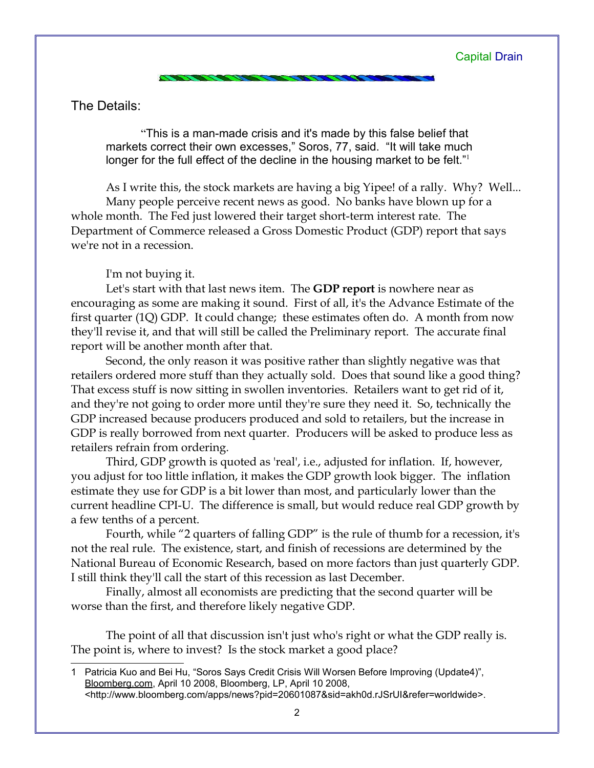The Details:

"This is a man-made crisis and it's made by this false belief that markets correct their own excesses," Soros, 77, said. "It will take much longer for the full effect of the decline in the housing market to be felt."

As I write this, the stock markets are having a big Yipee! of a rally. Why? Well... Many people perceive recent news as good. No banks have blown up for a

whole month. The Fed just lowered their target short-term interest rate. The Department of Commerce released a Gross Domestic Product (GDP) report that says we're not in a recession.

I'm not buying it.

Let's start with that last news item. The **GDP report** is nowhere near as encouraging as some are making it sound. First of all, it's the Advance Estimate of the first quarter (1Q) GDP. It could change; these estimates often do. A month from now they'll revise it, and that will still be called the Preliminary report. The accurate final report will be another month after that.

Second, the only reason it was positive rather than slightly negative was that retailers ordered more stuff than they actually sold. Does that sound like a good thing? That excess stuff is now sitting in swollen inventories. Retailers want to get rid of it, and they're not going to order more until they're sure they need it. So, technically the GDP increased because producers produced and sold to retailers, but the increase in GDP is really borrowed from next quarter. Producers will be asked to produce less as retailers refrain from ordering.

Third, GDP growth is quoted as 'real', i.e., adjusted for inflation. If, however, you adjust for too little inflation, it makes the GDP growth look bigger. The inflation estimate they use for GDP is a bit lower than most, and particularly lower than the current headline CPI-U. The difference is small, but would reduce real GDP growth by a few tenths of a percent.

Fourth, while "2 quarters of falling GDP" is the rule of thumb for a recession, it's not the real rule. The existence, start, and finish of recessions are determined by the National Bureau of Economic Research, based on more factors than just quarterly GDP. I still think they'll call the start of this recession as last December.

Finally, almost all economists are predicting that the second quarter will be worse than the first, and therefore likely negative GDP.

The point of all that discussion isn't just who's right or what the GDP really is. The point is, where to invest? Is the stock market a good place?

<span id="page-1-0"></span><sup>1</sup> Patricia Kuo and Bei Hu, "Soros Says Credit Crisis Will Worsen Before Improving (Update4)", Bloomberg.com, April 10 2008, Bloomberg, LP, April 10 2008, <http://www.bloomberg.com/apps/news?pid=20601087&sid=akh0d.rJSrUI&refer=worldwide>.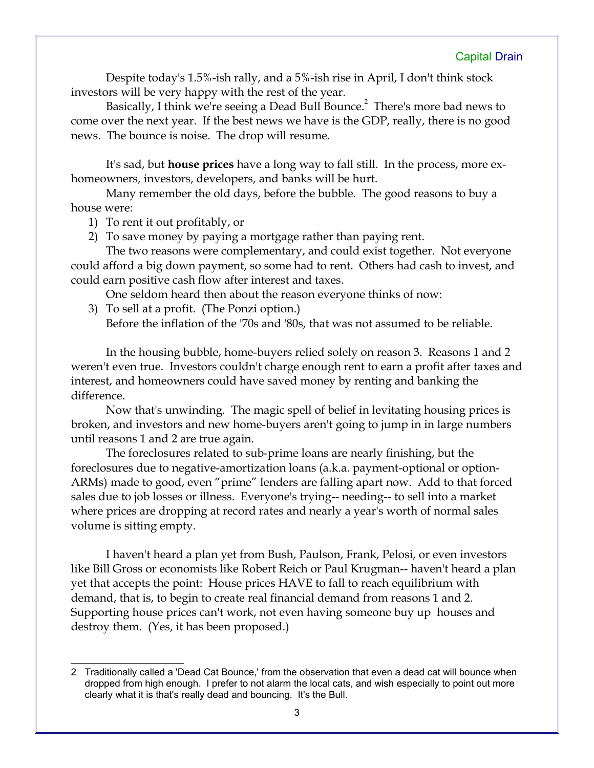Despite today's 1.5%-ish rally, and a 5%-ish rise in April, I don't think stock investors will be very happy with the rest of the year.

Basically, I think we're seeing a Dead Bull Bounce.<sup>[2](#page-2-0)</sup> There's more bad news to come over the next year. If the best news we have is the GDP, really, there is no good news. The bounce is noise. The drop will resume.

It's sad, but **house prices** have a long way to fall still. In the process, more exhomeowners, investors, developers, and banks will be hurt.

Many remember the old days, before the bubble. The good reasons to buy a house were:

1) To rent it out profitably, or

2) To save money by paying a mortgage rather than paying rent.

The two reasons were complementary, and could exist together. Not everyone could afford a big down payment, so some had to rent. Others had cash to invest, and could earn positive cash flow after interest and taxes.

One seldom heard then about the reason everyone thinks of now:

3) To sell at a profit. (The Ponzi option.)

Before the inflation of the '70s and '80s, that was not assumed to be reliable.

In the housing bubble, home-buyers relied solely on reason 3. Reasons 1 and 2 weren't even true. Investors couldn't charge enough rent to earn a profit after taxes and interest, and homeowners could have saved money by renting and banking the difference.

Now that's unwinding. The magic spell of belief in levitating housing prices is broken, and investors and new home-buyers aren't going to jump in in large numbers until reasons 1 and 2 are true again.

The foreclosures related to sub-prime loans are nearly finishing, but the foreclosures due to negative-amortization loans (a.k.a. payment-optional or option-ARMs) made to good, even "prime" lenders are falling apart now. Add to that forced sales due to job losses or illness. Everyone's trying-- needing-- to sell into a market where prices are dropping at record rates and nearly a year's worth of normal sales volume is sitting empty.

I haven't heard a plan yet from Bush, Paulson, Frank, Pelosi, or even investors like Bill Gross or economists like Robert Reich or Paul Krugman-- haven't heard a plan yet that accepts the point: House prices HAVE to fall to reach equilibrium with demand, that is, to begin to create real financial demand from reasons 1 and 2. Supporting house prices can't work, not even having someone buy up houses and destroy them. (Yes, it has been proposed.)

<span id="page-2-0"></span><sup>2</sup> Traditionally called a 'Dead Cat Bounce,' from the observation that even a dead cat will bounce when dropped from high enough. I prefer to not alarm the local cats, and wish especially to point out more clearly what it is that's really dead and bouncing. It's the Bull.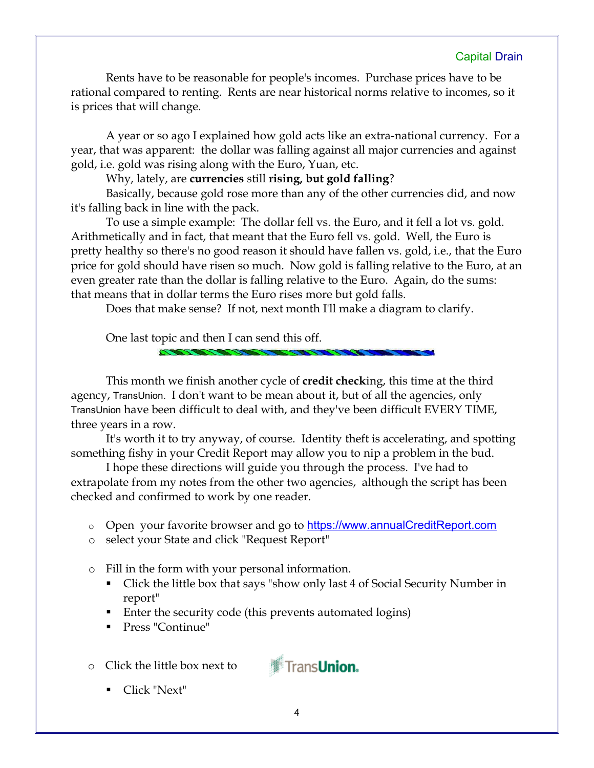Rents have to be reasonable for people's incomes. Purchase prices have to be rational compared to renting. Rents are near historical norms relative to incomes, so it is prices that will change.

A year or so ago I explained how gold acts like an extra-national currency. For a year, that was apparent: the dollar was falling against all major currencies and against gold, i.e. gold was rising along with the Euro, Yuan, etc.

Why, lately, are **currencies** still **rising, but gold falling**?

Basically, because gold rose more than any of the other currencies did, and now it's falling back in line with the pack.

To use a simple example: The dollar fell vs. the Euro, and it fell a lot vs. gold. Arithmetically and in fact, that meant that the Euro fell vs. gold. Well, the Euro is pretty healthy so there's no good reason it should have fallen vs. gold, i.e., that the Euro price for gold should have risen so much. Now gold is falling relative to the Euro, at an even greater rate than the dollar is falling relative to the Euro. Again, do the sums: that means that in dollar terms the Euro rises more but gold falls.

Does that make sense? If not, next month I'll make a diagram to clarify.

One last topic and then I can send this off.

This month we finish another cycle of **credit check**ing, this time at the third agency, TransUnion. I don't want to be mean about it, but of all the agencies, only TransUnion have been difficult to deal with, and they've been difficult EVERY TIME, three years in a row.

It's worth it to try anyway, of course. Identity theft is accelerating, and spotting something fishy in your Credit Report may allow you to nip a problem in the bud.

I hope these directions will guide you through the process. I've had to extrapolate from my notes from the other two agencies, although the script has been checked and confirmed to work by one reader.

- o Open your favorite browser and go to **[https://www.annualCreditReport.com](https://www.annualCreditReport.com/)**
- o select your State and click "Request Report"
- o Fill in the form with your personal information.
	- Click the little box that says "show only last 4 of Social Security Number in report"
	- Enter the security code (this prevents automated logins)
	- **Press "Continue"**
- o Click the little box next to



Click "Next"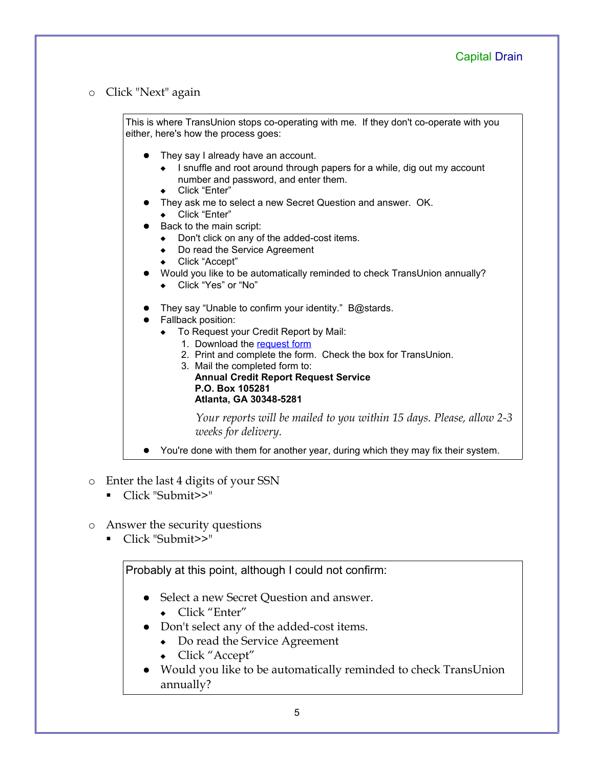o Click "Next" again

| This is where TransUnion stops co-operating with me. If they don't co-operate with you<br>either, here's how the process goes:                                                                                                                                                                                                                                                                                                                                                                                                    |
|-----------------------------------------------------------------------------------------------------------------------------------------------------------------------------------------------------------------------------------------------------------------------------------------------------------------------------------------------------------------------------------------------------------------------------------------------------------------------------------------------------------------------------------|
| They say I already have an account.<br>I snuffle and root around through papers for a while, dig out my account<br>number and password, and enter them.<br>Click "Enter"<br>$\bullet$<br>They ask me to select a new Secret Question and answer. OK.<br>Click "Enter"<br>$\bullet$<br>Back to the main script:<br>Don't click on any of the added-cost items.<br>Do read the Service Agreement<br>Click "Accept"<br>$\bullet$<br>Would you like to be automatically reminded to check TransUnion annually?<br>Click "Yes" or "No" |
| They say "Unable to confirm your identity." B@stards.<br>Fallback position:<br>$\bullet$<br>To Request your Credit Report by Mail:<br>1. Download the request form<br>2. Print and complete the form. Check the box for TransUnion.<br>3. Mail the completed form to:<br><b>Annual Credit Report Request Service</b><br>P.O. Box 105281<br>Atlanta, GA 30348-5281                                                                                                                                                                 |
| Your reports will be mailed to you within 15 days. Please, allow 2-3<br>weeks for delivery.                                                                                                                                                                                                                                                                                                                                                                                                                                       |
| You're done with them for another year, during which they may fix their system.                                                                                                                                                                                                                                                                                                                                                                                                                                                   |

- o Enter the last 4 digits of your SSN
	- Click "Submit>>"
- o Answer the security questions
	- Click "Submit>>"

Probably at this point, although I could not confirm:

- Select a new Secret Question and answer.
	- Click "Enter"
- Don't select any of the added-cost items.
	- Do read the Service Agreement
	- Click "Accept"
- Would you like to be automatically reminded to check TransUnion annually?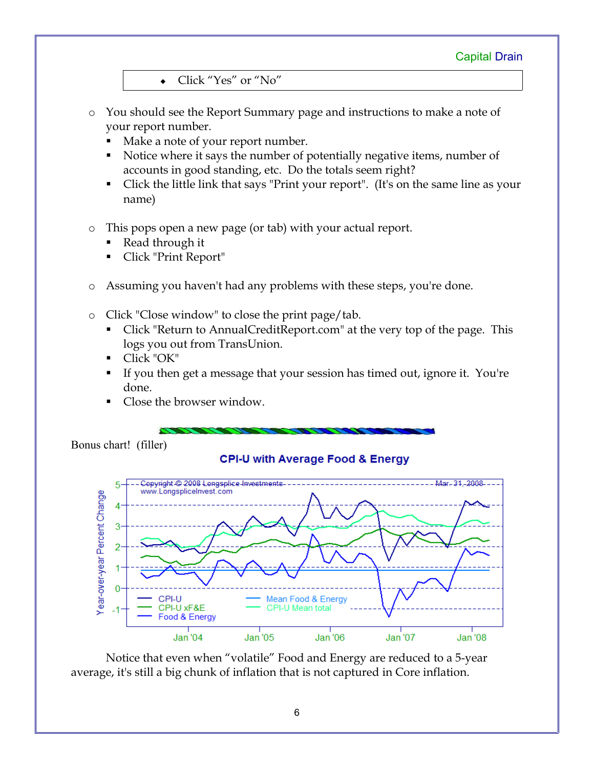Click "Yes" or "No"

- o You should see the Report Summary page and instructions to make a note of your report number.
	- Make a note of your report number.
	- Notice where it says the number of potentially negative items, number of accounts in good standing, etc. Do the totals seem right?
	- Click the little link that says "Print your report". (It's on the same line as your name)
- o This pops open a new page (or tab) with your actual report.
	- Read through it
	- Click "Print Report"
- o Assuming you haven't had any problems with these steps, you're done.
- o Click "Close window" to close the print page/tab.
	- Click "Return to AnnualCreditReport.com" at the very top of the page. This logs you out from TransUnion.
	- Click "OK"
	- If you then get a message that your session has timed out, ignore it. You're done.
	- Close the browser window.

Bonus chart! (filler)

## **CPI-U with Average Food & Energy**



Notice that even when "volatile" Food and Energy are reduced to a 5-year average, it's still a big chunk of inflation that is not captured in Core inflation.